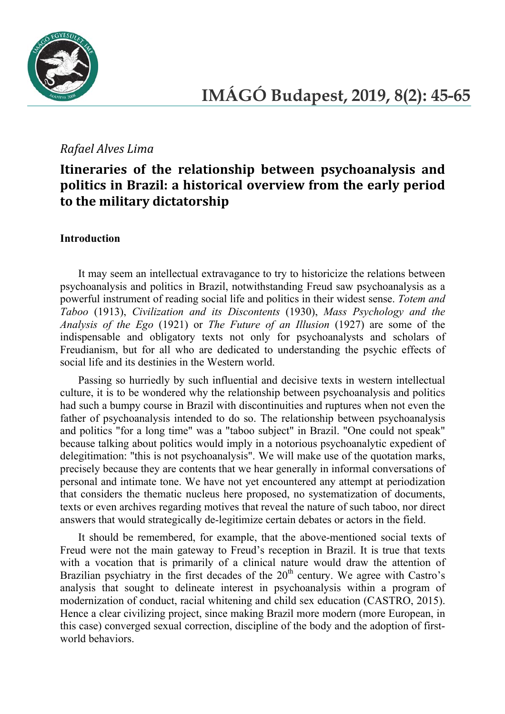

## *Rafael Alves Lima*

# **Itineraries of the relationship between psychoanalysis and politics in Brazil: a historical overview from the early period to the military dictatorship**

#### **Introduction**

It may seem an intellectual extravagance to try to historicize the relations between psychoanalysis and politics in Brazil, notwithstanding Freud saw psychoanalysis as a powerful instrument of reading social life and politics in their widest sense. *Totem and Taboo* (1913), *Civilization and its Discontents* (1930), *Mass Psychology and the Analysis of the Ego* (1921) or *The Future of an Illusion* (1927) are some of the indispensable and obligatory texts not only for psychoanalysts and scholars of Freudianism, but for all who are dedicated to understanding the psychic effects of social life and its destinies in the Western world.

Passing so hurriedly by such influential and decisive texts in western intellectual culture, it is to be wondered why the relationship between psychoanalysis and politics had such a bumpy course in Brazil with discontinuities and ruptures when not even the father of psychoanalysis intended to do so. The relationship between psychoanalysis and politics "for a long time" was a "taboo subject" in Brazil. "One could not speak" because talking about politics would imply in a notorious psychoanalytic expedient of delegitimation: "this is not psychoanalysis". We will make use of the quotation marks, precisely because they are contents that we hear generally in informal conversations of personal and intimate tone. We have not yet encountered any attempt at periodization that considers the thematic nucleus here proposed, no systematization of documents, texts or even archives regarding motives that reveal the nature of such taboo, nor direct answers that would strategically de-legitimize certain debates or actors in the field.

It should be remembered, for example, that the above-mentioned social texts of Freud were not the main gateway to Freud's reception in Brazil. It is true that texts with a vocation that is primarily of a clinical nature would draw the attention of Brazilian psychiatry in the first decades of the  $20<sup>th</sup>$  century. We agree with Castro's analysis that sought to delineate interest in psychoanalysis within a program of modernization of conduct, racial whitening and child sex education (CASTRO, 2015). Hence a clear civilizing project, since making Brazil more modern (more European, in this case) converged sexual correction, discipline of the body and the adoption of firstworld behaviors.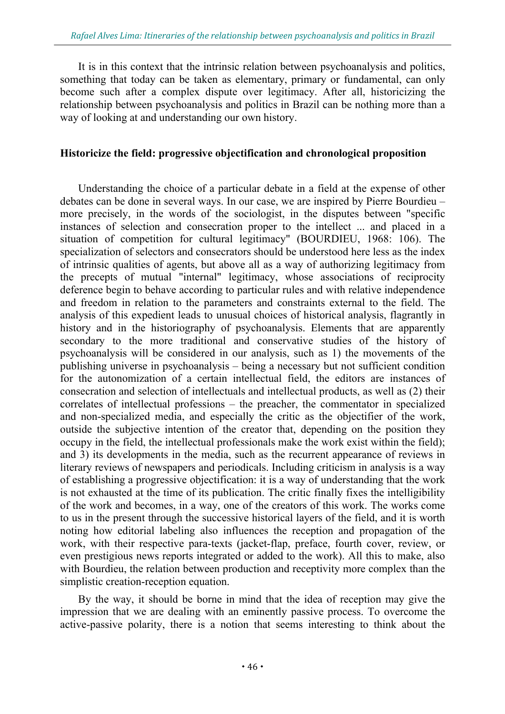It is in this context that the intrinsic relation between psychoanalysis and politics, something that today can be taken as elementary, primary or fundamental, can only become such after a complex dispute over legitimacy. After all, historicizing the relationship between psychoanalysis and politics in Brazil can be nothing more than a way of looking at and understanding our own history.

#### **Historicize the field: progressive objectification and chronological proposition**

Understanding the choice of a particular debate in a field at the expense of other debates can be done in several ways. In our case, we are inspired by Pierre Bourdieu – more precisely, in the words of the sociologist, in the disputes between "specific instances of selection and consecration proper to the intellect ... and placed in a situation of competition for cultural legitimacy" (BOURDIEU, 1968: 106). The specialization of selectors and consecrators should be understood here less as the index of intrinsic qualities of agents, but above all as a way of authorizing legitimacy from the precepts of mutual "internal" legitimacy, whose associations of reciprocity deference begin to behave according to particular rules and with relative independence and freedom in relation to the parameters and constraints external to the field. The analysis of this expedient leads to unusual choices of historical analysis, flagrantly in history and in the historiography of psychoanalysis. Elements that are apparently secondary to the more traditional and conservative studies of the history of psychoanalysis will be considered in our analysis, such as 1) the movements of the publishing universe in psychoanalysis – being a necessary but not sufficient condition for the autonomization of a certain intellectual field, the editors are instances of consecration and selection of intellectuals and intellectual products, as well as (2) their correlates of intellectual professions – the preacher, the commentator in specialized and non-specialized media, and especially the critic as the objectifier of the work, outside the subjective intention of the creator that, depending on the position they occupy in the field, the intellectual professionals make the work exist within the field); and 3) its developments in the media, such as the recurrent appearance of reviews in literary reviews of newspapers and periodicals. Including criticism in analysis is a way of establishing a progressive objectification: it is a way of understanding that the work is not exhausted at the time of its publication. The critic finally fixes the intelligibility of the work and becomes, in a way, one of the creators of this work. The works come to us in the present through the successive historical layers of the field, and it is worth noting how editorial labeling also influences the reception and propagation of the work, with their respective para-texts (jacket-flap, preface, fourth cover, review, or even prestigious news reports integrated or added to the work). All this to make, also with Bourdieu, the relation between production and receptivity more complex than the simplistic creation-reception equation.

By the way, it should be borne in mind that the idea of reception may give the impression that we are dealing with an eminently passive process. To overcome the active-passive polarity, there is a notion that seems interesting to think about the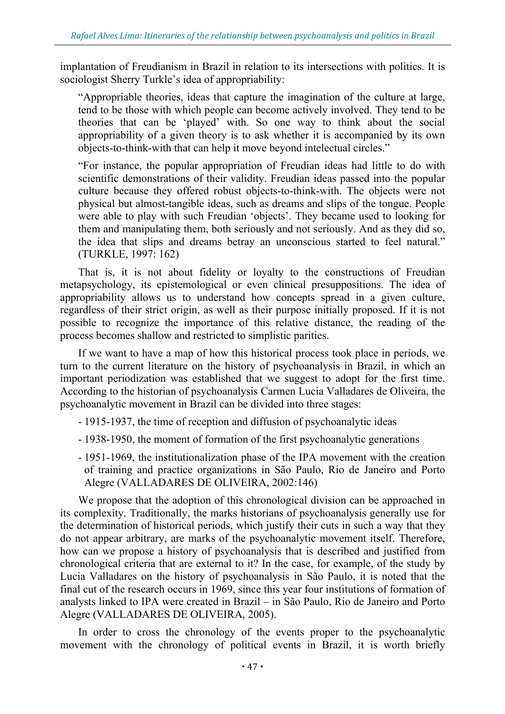implantation of Freudianism in Brazil in relation to its intersections with politics. It is sociologist Sherry Turkle's idea of appropriability:

"Appropriable theories, ideas that capture the imagination of the culture at large, tend to be those with which people can become actively involved. They tend to be theories that can be 'played' with. So one way to think about the social appropriability of a given theory is to ask whether it is accompanied by its own objects-to-think-with that can help it move beyond intelectual circles."

"For instance, the popular appropriation of Freudian ideas had little to do with scientific demonstrations of their validity. Freudian ideas passed into the popular culture because they offered robust objects-to-think-with. The objects were not physical but almost-tangible ideas, such as dreams and slips of the tongue. People were able to play with such Freudian 'objects'. They became used to looking for them and manipulating them, both seriously and not seriously. And as they did so, the idea that slips and dreams betray an unconscious started to feel natural." (TURKLE, 1997: 162)

That is, it is not about fidelity or loyalty to the constructions of Freudian metapsychology, its epistemological or even clinical presuppositions. The idea of appropriability allows us to understand how concepts spread in a given culture, regardless of their strict origin, as well as their purpose initially proposed. If it is not possible to recognize the importance of this relative distance, the reading of the process becomes shallow and restricted to simplistic parities.

If we want to have a map of how this historical process took place in periods, we turn to the current literature on the history of psychoanalysis in Brazil, in which an important periodization was established that we suggest to adopt for the first time. According to the historian of psychoanalysis Carmen Lucia Valladares de Oliveira, the psychoanalytic movement in Brazil can be divided into three stages:

- 1915-1937, the time of reception and diffusion of psychoanalytic ideas
- 1938-1950, the moment of formation of the first psychoanalytic generations
- 1951-1969, the institutionalization phase of the IPA movement with the creation of training and practice organizations in São Paulo, Rio de Janeiro and Porto Alegre (VALLADARES DE OLIVEIRA, 2002:146)

We propose that the adoption of this chronological division can be approached in its complexity. Traditionally, the marks historians of psychoanalysis generally use for the determination of historical periods, which justify their cuts in such a way that they do not appear arbitrary, are marks of the psychoanalytic movement itself. Therefore, how can we propose a history of psychoanalysis that is described and justified from chronological criteria that are external to it? In the case, for example, of the study by Lucia Valladares on the history of psychoanalysis in São Paulo, it is noted that the final cut of the research occurs in 1969, since this year four institutions of formation of analysts linked to IPA were created in Brazil – in São Paulo, Rio de Janeiro and Porto Alegre (VALLADARES DE OLIVEIRA, 2005).

In order to cross the chronology of the events proper to the psychoanalytic movement with the chronology of political events in Brazil, it is worth briefly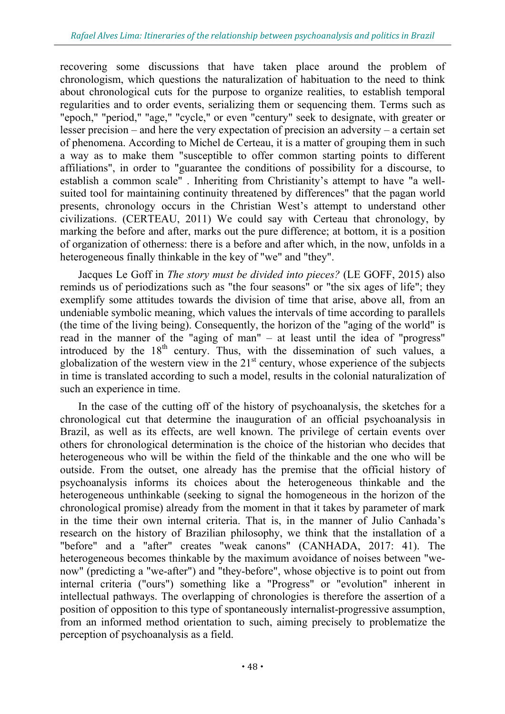recovering some discussions that have taken place around the problem of chronologism, which questions the naturalization of habituation to the need to think about chronological cuts for the purpose to organize realities, to establish temporal regularities and to order events, serializing them or sequencing them. Terms such as "epoch," "period," "age," "cycle," or even "century" seek to designate, with greater or lesser precision – and here the very expectation of precision an adversity – a certain set of phenomena. According to Michel de Certeau, it is a matter of grouping them in such a way as to make them "susceptible to offer common starting points to different affiliations", in order to "guarantee the conditions of possibility for a discourse, to establish a common scale" . Inheriting from Christianity's attempt to have "a wellsuited tool for maintaining continuity threatened by differences" that the pagan world presents, chronology occurs in the Christian West's attempt to understand other civilizations. (CERTEAU, 2011) We could say with Certeau that chronology, by marking the before and after, marks out the pure difference; at bottom, it is a position of organization of otherness: there is a before and after which, in the now, unfolds in a heterogeneous finally thinkable in the key of "we" and "they".

Jacques Le Goff in *The story must be divided into pieces?* (LE GOFF, 2015) also reminds us of periodizations such as "the four seasons" or "the six ages of life"; they exemplify some attitudes towards the division of time that arise, above all, from an undeniable symbolic meaning, which values the intervals of time according to parallels (the time of the living being). Consequently, the horizon of the "aging of the world" is read in the manner of the "aging of man" – at least until the idea of "progress" introduced by the  $18<sup>th</sup>$  century. Thus, with the dissemination of such values, a globalization of the western view in the  $21<sup>st</sup>$  century, whose experience of the subjects in time is translated according to such a model, results in the colonial naturalization of such an experience in time.

In the case of the cutting off of the history of psychoanalysis, the sketches for a chronological cut that determine the inauguration of an official psychoanalysis in Brazil, as well as its effects, are well known. The privilege of certain events over others for chronological determination is the choice of the historian who decides that heterogeneous who will be within the field of the thinkable and the one who will be outside. From the outset, one already has the premise that the official history of psychoanalysis informs its choices about the heterogeneous thinkable and the heterogeneous unthinkable (seeking to signal the homogeneous in the horizon of the chronological promise) already from the moment in that it takes by parameter of mark in the time their own internal criteria. That is, in the manner of Julio Canhada's research on the history of Brazilian philosophy, we think that the installation of a "before" and a "after" creates "weak canons" (CANHADA, 2017: 41). The heterogeneous becomes thinkable by the maximum avoidance of noises between "wenow" (predicting a "we-after") and "they-before", whose objective is to point out from internal criteria ("ours") something like a "Progress" or "evolution" inherent in intellectual pathways. The overlapping of chronologies is therefore the assertion of a position of opposition to this type of spontaneously internalist-progressive assumption, from an informed method orientation to such, aiming precisely to problematize the perception of psychoanalysis as a field.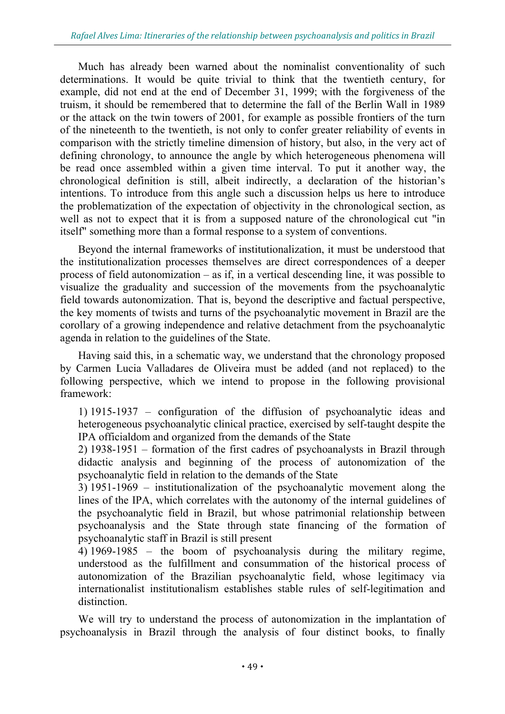Much has already been warned about the nominalist conventionality of such determinations. It would be quite trivial to think that the twentieth century, for example, did not end at the end of December 31, 1999; with the forgiveness of the truism, it should be remembered that to determine the fall of the Berlin Wall in 1989 or the attack on the twin towers of 2001, for example as possible frontiers of the turn of the nineteenth to the twentieth, is not only to confer greater reliability of events in comparison with the strictly timeline dimension of history, but also, in the very act of defining chronology, to announce the angle by which heterogeneous phenomena will be read once assembled within a given time interval. To put it another way, the chronological definition is still, albeit indirectly, a declaration of the historian's intentions. To introduce from this angle such a discussion helps us here to introduce the problematization of the expectation of objectivity in the chronological section, as well as not to expect that it is from a supposed nature of the chronological cut "in itself" something more than a formal response to a system of conventions.

Beyond the internal frameworks of institutionalization, it must be understood that the institutionalization processes themselves are direct correspondences of a deeper process of field autonomization – as if, in a vertical descending line, it was possible to visualize the graduality and succession of the movements from the psychoanalytic field towards autonomization. That is, beyond the descriptive and factual perspective, the key moments of twists and turns of the psychoanalytic movement in Brazil are the corollary of a growing independence and relative detachment from the psychoanalytic agenda in relation to the guidelines of the State.

Having said this, in a schematic way, we understand that the chronology proposed by Carmen Lucia Valladares de Oliveira must be added (and not replaced) to the following perspective, which we intend to propose in the following provisional framework:

1) 1915-1937 – configuration of the diffusion of psychoanalytic ideas and heterogeneous psychoanalytic clinical practice, exercised by self-taught despite the IPA officialdom and organized from the demands of the State

2) 1938-1951 – formation of the first cadres of psychoanalysts in Brazil through didactic analysis and beginning of the process of autonomization of the psychoanalytic field in relation to the demands of the State

3) 1951-1969 – institutionalization of the psychoanalytic movement along the lines of the IPA, which correlates with the autonomy of the internal guidelines of the psychoanalytic field in Brazil, but whose patrimonial relationship between psychoanalysis and the State through state financing of the formation of psychoanalytic staff in Brazil is still present

4) 1969-1985 – the boom of psychoanalysis during the military regime, understood as the fulfillment and consummation of the historical process of autonomization of the Brazilian psychoanalytic field, whose legitimacy via internationalist institutionalism establishes stable rules of self-legitimation and distinction.

We will try to understand the process of autonomization in the implantation of psychoanalysis in Brazil through the analysis of four distinct books, to finally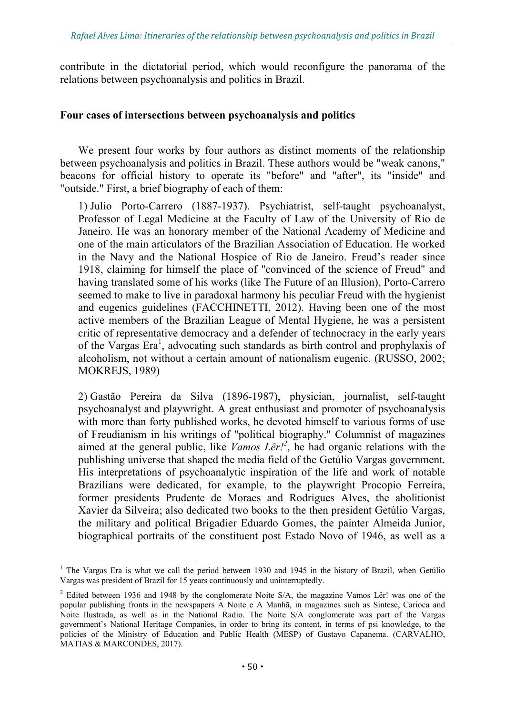contribute in the dictatorial period, which would reconfigure the panorama of the relations between psychoanalysis and politics in Brazil.

#### **Four cases of intersections between psychoanalysis and politics**

We present four works by four authors as distinct moments of the relationship between psychoanalysis and politics in Brazil. These authors would be "weak canons," beacons for official history to operate its "before" and "after", its "inside" and "outside." First, a brief biography of each of them:

1) Julio Porto-Carrero (1887-1937). Psychiatrist, self-taught psychoanalyst, Professor of Legal Medicine at the Faculty of Law of the University of Rio de Janeiro. He was an honorary member of the National Academy of Medicine and one of the main articulators of the Brazilian Association of Education. He worked in the Navy and the National Hospice of Rio de Janeiro. Freud's reader since 1918, claiming for himself the place of "convinced of the science of Freud" and having translated some of his works (like The Future of an Illusion), Porto-Carrero seemed to make to live in paradoxal harmony his peculiar Freud with the hygienist and eugenics guidelines (FACCHINETTI, 2012). Having been one of the most active members of the Brazilian League of Mental Hygiene, he was a persistent critic of representative democracy and a defender of technocracy in the early years of the Vargas Era<sup>1</sup>, advocating such standards as birth control and prophylaxis of alcoholism, not without a certain amount of nationalism eugenic. (RUSSO, 2002; MOKREJS, 1989)

2) Gastão Pereira da Silva (1896-1987), physician, journalist, self-taught psychoanalyst and playwright. A great enthusiast and promoter of psychoanalysis with more than forty published works, he devoted himself to various forms of use of Freudianism in his writings of "political biography." Columnist of magazines aimed at the general public, like *Vamos Lêr!<sup>2</sup>* , he had organic relations with the publishing universe that shaped the media field of the Getúlio Vargas government. His interpretations of psychoanalytic inspiration of the life and work of notable Brazilians were dedicated, for example, to the playwright Procopio Ferreira, former presidents Prudente de Moraes and Rodrigues Alves, the abolitionist Xavier da Silveira; also dedicated two books to the then president Getúlio Vargas, the military and political Brigadier Eduardo Gomes, the painter Almeida Junior, biographical portraits of the constituent post Estado Novo of 1946, as well as a

<sup>&</sup>lt;sup>1</sup> The Vargas Era is what we call the period between 1930 and 1945 in the history of Brazil, when Getúlio Vargas was president of Brazil for 15 years continuously and uninterruptedly.

<sup>&</sup>lt;sup>2</sup> Edited between 1936 and 1948 by the conglomerate Noite S/A, the magazine Vamos Lêr! was one of the popular publishing fronts in the newspapers A Noite e A Manhã, in magazines such as Síntese, Carioca and Noite Ilustrada, as well as in the National Radio. The Noite S/A conglomerate was part of the Vargas government's National Heritage Companies, in order to bring its content, in terms of psi knowledge, to the policies of the Ministry of Education and Public Health (MESP) of Gustavo Capanema. (CARVALHO, MATIAS & MARCONDES, 2017).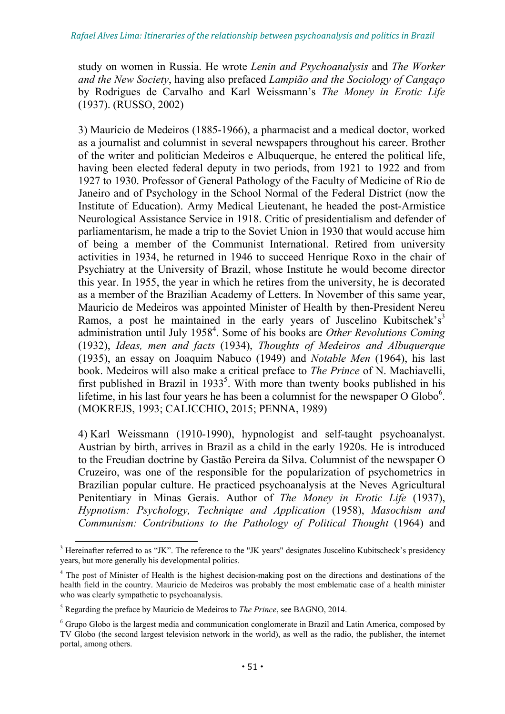study on women in Russia. He wrote *Lenin and Psychoanalysis* and *The Worker and the New Society*, having also prefaced *Lampião and the Sociology of Cangaço* by Rodrigues de Carvalho and Karl Weissmann's *The Money in Erotic Life* (1937). (RUSSO, 2002)

3) Maurício de Medeiros (1885-1966), a pharmacist and a medical doctor, worked as a journalist and columnist in several newspapers throughout his career. Brother of the writer and politician Medeiros e Albuquerque, he entered the political life, having been elected federal deputy in two periods, from 1921 to 1922 and from 1927 to 1930. Professor of General Pathology of the Faculty of Medicine of Rio de Janeiro and of Psychology in the School Normal of the Federal District (now the Institute of Education). Army Medical Lieutenant, he headed the post-Armistice Neurological Assistance Service in 1918. Critic of presidentialism and defender of parliamentarism, he made a trip to the Soviet Union in 1930 that would accuse him of being a member of the Communist International. Retired from university activities in 1934, he returned in 1946 to succeed Henrique Roxo in the chair of Psychiatry at the University of Brazil, whose Institute he would become director this year. In 1955, the year in which he retires from the university, he is decorated as a member of the Brazilian Academy of Letters. In November of this same year, Mauricio de Medeiros was appointed Minister of Health by then-President Nereu Ramos, a post he maintained in the early years of Juscelino Kubitschek's<sup>3</sup> administration until July 1958<sup>4</sup>. Some of his books are *Other Revolutions Coming* (1932), *Ideas, men and facts* (1934), *Thoughts of Medeiros and Albuquerque* (1935), an essay on Joaquim Nabuco (1949) and *Notable Men* (1964), his last book. Medeiros will also make a critical preface to *The Prince* of N. Machiavelli, first published in Brazil in  $1933^5$ . With more than twenty books published in his lifetime, in his last four years he has been a columnist for the newspaper  $O$  Globo<sup>6</sup>. (MOKREJS, 1993; CALICCHIO, 2015; PENNA, 1989)

4) Karl Weissmann (1910-1990), hypnologist and self-taught psychoanalyst. Austrian by birth, arrives in Brazil as a child in the early 1920s. He is introduced to the Freudian doctrine by Gastão Pereira da Silva. Columnist of the newspaper O Cruzeiro, was one of the responsible for the popularization of psychometrics in Brazilian popular culture. He practiced psychoanalysis at the Neves Agricultural Penitentiary in Minas Gerais. Author of *The Money in Erotic Life* (1937), *Hypnotism: Psychology, Technique and Application* (1958), *Masochism and Communism: Contributions to the Pathology of Political Thought* (1964) and

<sup>&</sup>lt;sup>3</sup> Hereinafter referred to as "JK". The reference to the "JK years" designates Juscelino Kubitscheck's presidency years, but more generally his developmental politics.

<sup>&</sup>lt;sup>4</sup> The post of Minister of Health is the highest decision-making post on the directions and destinations of the health field in the country. Mauricio de Medeiros was probably the most emblematic case of a health minister who was clearly sympathetic to psychoanalysis.

<sup>5</sup> Regarding the preface by Mauricio de Medeiros to *The Prince*, see BAGNO, 2014.

<sup>&</sup>lt;sup>6</sup> Grupo Globo is the largest media and communication conglomerate in Brazil and Latin America, composed by TV Globo (the second largest television network in the world), as well as the radio, the publisher, the internet portal, among others.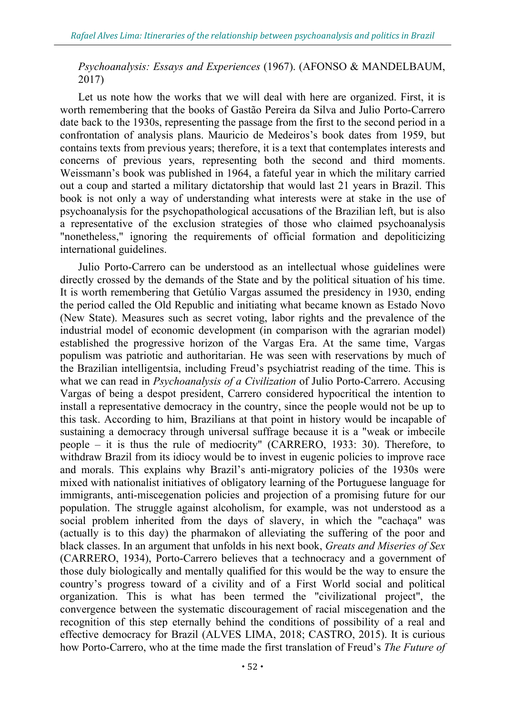#### *Psychoanalysis: Essays and Experiences* (1967). (AFONSO & MANDELBAUM, 2017)

Let us note how the works that we will deal with here are organized. First, it is worth remembering that the books of Gastão Pereira da Silva and Julio Porto-Carrero date back to the 1930s, representing the passage from the first to the second period in a confrontation of analysis plans. Mauricio de Medeiros's book dates from 1959, but contains texts from previous years; therefore, it is a text that contemplates interests and concerns of previous years, representing both the second and third moments. Weissmann's book was published in 1964, a fateful year in which the military carried out a coup and started a military dictatorship that would last 21 years in Brazil. This book is not only a way of understanding what interests were at stake in the use of psychoanalysis for the psychopathological accusations of the Brazilian left, but is also a representative of the exclusion strategies of those who claimed psychoanalysis "nonetheless," ignoring the requirements of official formation and depoliticizing international guidelines.

Julio Porto-Carrero can be understood as an intellectual whose guidelines were directly crossed by the demands of the State and by the political situation of his time. It is worth remembering that Getúlio Vargas assumed the presidency in 1930, ending the period called the Old Republic and initiating what became known as Estado Novo (New State). Measures such as secret voting, labor rights and the prevalence of the industrial model of economic development (in comparison with the agrarian model) established the progressive horizon of the Vargas Era. At the same time, Vargas populism was patriotic and authoritarian. He was seen with reservations by much of the Brazilian intelligentsia, including Freud's psychiatrist reading of the time. This is what we can read in *Psychoanalysis of a Civilization* of Julio Porto-Carrero. Accusing Vargas of being a despot president, Carrero considered hypocritical the intention to install a representative democracy in the country, since the people would not be up to this task. According to him, Brazilians at that point in history would be incapable of sustaining a democracy through universal suffrage because it is a "weak or imbecile people – it is thus the rule of mediocrity" (CARRERO, 1933: 30). Therefore, to withdraw Brazil from its idiocy would be to invest in eugenic policies to improve race and morals. This explains why Brazil's anti-migratory policies of the 1930s were mixed with nationalist initiatives of obligatory learning of the Portuguese language for immigrants, anti-miscegenation policies and projection of a promising future for our population. The struggle against alcoholism, for example, was not understood as a social problem inherited from the days of slavery, in which the "cachaça" was (actually is to this day) the pharmakon of alleviating the suffering of the poor and black classes. In an argument that unfolds in his next book, *Greats and Miseries of Sex* (CARRERO, 1934), Porto-Carrero believes that a technocracy and a government of those duly biologically and mentally qualified for this would be the way to ensure the country's progress toward of a civility and of a First World social and political organization. This is what has been termed the "civilizational project", the convergence between the systematic discouragement of racial miscegenation and the recognition of this step eternally behind the conditions of possibility of a real and effective democracy for Brazil (ALVES LIMA, 2018; CASTRO, 2015). It is curious how Porto-Carrero, who at the time made the first translation of Freud's *The Future of*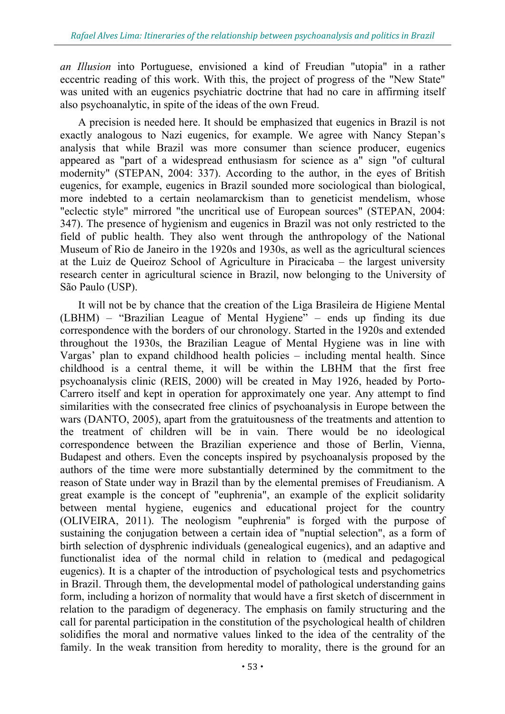*an Illusion* into Portuguese, envisioned a kind of Freudian "utopia" in a rather eccentric reading of this work. With this, the project of progress of the "New State" was united with an eugenics psychiatric doctrine that had no care in affirming itself also psychoanalytic, in spite of the ideas of the own Freud.

A precision is needed here. It should be emphasized that eugenics in Brazil is not exactly analogous to Nazi eugenics, for example. We agree with Nancy Stepan's analysis that while Brazil was more consumer than science producer, eugenics appeared as "part of a widespread enthusiasm for science as a" sign "of cultural modernity" (STEPAN, 2004: 337). According to the author, in the eyes of British eugenics, for example, eugenics in Brazil sounded more sociological than biological, more indebted to a certain neolamarckism than to geneticist mendelism, whose "eclectic style" mirrored "the uncritical use of European sources" (STEPAN, 2004: 347). The presence of hygienism and eugenics in Brazil was not only restricted to the field of public health. They also went through the anthropology of the National Museum of Rio de Janeiro in the 1920s and 1930s, as well as the agricultural sciences at the Luiz de Queiroz School of Agriculture in Piracicaba – the largest university research center in agricultural science in Brazil, now belonging to the University of São Paulo (USP).

It will not be by chance that the creation of the Liga Brasileira de Higiene Mental (LBHM) – "Brazilian League of Mental Hygiene" – ends up finding its due correspondence with the borders of our chronology. Started in the 1920s and extended throughout the 1930s, the Brazilian League of Mental Hygiene was in line with Vargas' plan to expand childhood health policies – including mental health. Since childhood is a central theme, it will be within the LBHM that the first free psychoanalysis clinic (REIS, 2000) will be created in May 1926, headed by Porto-Carrero itself and kept in operation for approximately one year. Any attempt to find similarities with the consecrated free clinics of psychoanalysis in Europe between the wars (DANTO, 2005), apart from the gratuitousness of the treatments and attention to the treatment of children will be in vain. There would be no ideological correspondence between the Brazilian experience and those of Berlin, Vienna, Budapest and others. Even the concepts inspired by psychoanalysis proposed by the authors of the time were more substantially determined by the commitment to the reason of State under way in Brazil than by the elemental premises of Freudianism. A great example is the concept of "euphrenia", an example of the explicit solidarity between mental hygiene, eugenics and educational project for the country (OLIVEIRA, 2011). The neologism "euphrenia" is forged with the purpose of sustaining the conjugation between a certain idea of "nuptial selection", as a form of birth selection of dysphrenic individuals (genealogical eugenics), and an adaptive and functionalist idea of the normal child in relation to (medical and pedagogical eugenics). It is a chapter of the introduction of psychological tests and psychometrics in Brazil. Through them, the developmental model of pathological understanding gains form, including a horizon of normality that would have a first sketch of discernment in relation to the paradigm of degeneracy. The emphasis on family structuring and the call for parental participation in the constitution of the psychological health of children solidifies the moral and normative values linked to the idea of the centrality of the family. In the weak transition from heredity to morality, there is the ground for an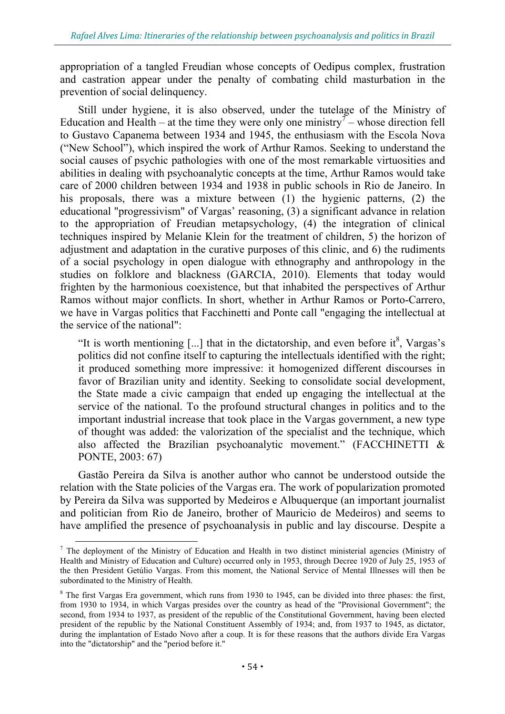appropriation of a tangled Freudian whose concepts of Oedipus complex, frustration and castration appear under the penalty of combating child masturbation in the prevention of social delinquency.

Still under hygiene, it is also observed, under the tutelage of the Ministry of Education and Health – at the time they were only one ministry<sup> $\tau$ </sup> – whose direction fell to Gustavo Capanema between 1934 and 1945, the enthusiasm with the Escola Nova ("New School"), which inspired the work of Arthur Ramos. Seeking to understand the social causes of psychic pathologies with one of the most remarkable virtuosities and abilities in dealing with psychoanalytic concepts at the time, Arthur Ramos would take care of 2000 children between 1934 and 1938 in public schools in Rio de Janeiro. In his proposals, there was a mixture between (1) the hygienic patterns, (2) the educational "progressivism" of Vargas' reasoning, (3) a significant advance in relation to the appropriation of Freudian metapsychology, (4) the integration of clinical techniques inspired by Melanie Klein for the treatment of children, 5) the horizon of adjustment and adaptation in the curative purposes of this clinic, and 6) the rudiments of a social psychology in open dialogue with ethnography and anthropology in the studies on folklore and blackness (GARCIA, 2010). Elements that today would frighten by the harmonious coexistence, but that inhabited the perspectives of Arthur Ramos without major conflicts. In short, whether in Arthur Ramos or Porto-Carrero, we have in Vargas politics that Facchinetti and Ponte call "engaging the intellectual at the service of the national":

"It is worth mentioning  $[...]$  that in the dictatorship, and even before it<sup>8</sup>, Vargas's politics did not confine itself to capturing the intellectuals identified with the right; it produced something more impressive: it homogenized different discourses in favor of Brazilian unity and identity. Seeking to consolidate social development, the State made a civic campaign that ended up engaging the intellectual at the service of the national. To the profound structural changes in politics and to the important industrial increase that took place in the Vargas government, a new type of thought was added: the valorization of the specialist and the technique, which also affected the Brazilian psychoanalytic movement." (FACCHINETTI & PONTE, 2003: 67)

Gastão Pereira da Silva is another author who cannot be understood outside the relation with the State policies of the Vargas era. The work of popularization promoted by Pereira da Silva was supported by Medeiros e Albuquerque (an important journalist and politician from Rio de Janeiro, brother of Mauricio de Medeiros) and seems to have amplified the presence of psychoanalysis in public and lay discourse. Despite a

<sup>&</sup>lt;sup>7</sup> The deployment of the Ministry of Education and Health in two distinct ministerial agencies (Ministry of Health and Ministry of Education and Culture) occurred only in 1953, through Decree 1920 of July 25, 1953 of the then President Getúlio Vargas. From this moment, the National Service of Mental Illnesses will then be subordinated to the Ministry of Health.

<sup>&</sup>lt;sup>8</sup> The first Vargas Era government, which runs from 1930 to 1945, can be divided into three phases: the first, from 1930 to 1934, in which Vargas presides over the country as head of the "Provisional Government"; the second, from 1934 to 1937, as president of the republic of the Constitutional Government, having been elected president of the republic by the National Constituent Assembly of 1934; and, from 1937 to 1945, as dictator, during the implantation of Estado Novo after a coup. It is for these reasons that the authors divide Era Vargas into the "dictatorship" and the "period before it."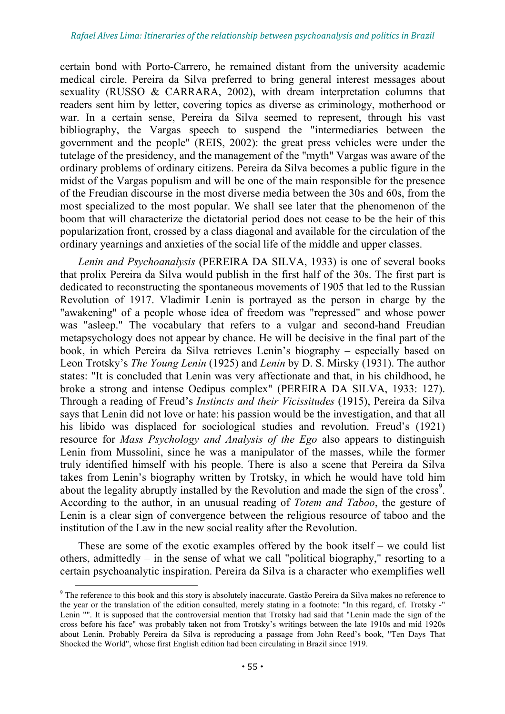certain bond with Porto-Carrero, he remained distant from the university academic medical circle. Pereira da Silva preferred to bring general interest messages about sexuality (RUSSO & CARRARA, 2002), with dream interpretation columns that readers sent him by letter, covering topics as diverse as criminology, motherhood or war. In a certain sense, Pereira da Silva seemed to represent, through his vast bibliography, the Vargas speech to suspend the "intermediaries between the government and the people" (REIS, 2002): the great press vehicles were under the tutelage of the presidency, and the management of the "myth" Vargas was aware of the ordinary problems of ordinary citizens. Pereira da Silva becomes a public figure in the midst of the Vargas populism and will be one of the main responsible for the presence of the Freudian discourse in the most diverse media between the 30s and 60s, from the most specialized to the most popular. We shall see later that the phenomenon of the boom that will characterize the dictatorial period does not cease to be the heir of this popularization front, crossed by a class diagonal and available for the circulation of the ordinary yearnings and anxieties of the social life of the middle and upper classes.

*Lenin and Psychoanalysis* (PEREIRA DA SILVA, 1933) is one of several books that prolix Pereira da Silva would publish in the first half of the 30s. The first part is dedicated to reconstructing the spontaneous movements of 1905 that led to the Russian Revolution of 1917. Vladimir Lenin is portrayed as the person in charge by the "awakening" of a people whose idea of freedom was "repressed" and whose power was "asleep." The vocabulary that refers to a vulgar and second-hand Freudian metapsychology does not appear by chance. He will be decisive in the final part of the book, in which Pereira da Silva retrieves Lenin's biography – especially based on Leon Trotsky's *The Young Lenin* (1925) and *Lenin* by D. S. Mirsky (1931). The author states: "It is concluded that Lenin was very affectionate and that, in his childhood, he broke a strong and intense Oedipus complex" (PEREIRA DA SILVA, 1933: 127). Through a reading of Freud's *Instincts and their Vicissitudes* (1915), Pereira da Silva says that Lenin did not love or hate: his passion would be the investigation, and that all his libido was displaced for sociological studies and revolution. Freud's (1921) resource for *Mass Psychology and Analysis of the Ego* also appears to distinguish Lenin from Mussolini, since he was a manipulator of the masses, while the former truly identified himself with his people. There is also a scene that Pereira da Silva takes from Lenin's biography written by Trotsky, in which he would have told him about the legality abruptly installed by the Revolution and made the sign of the cross<sup>9</sup>. According to the author, in an unusual reading of *Totem and Taboo*, the gesture of Lenin is a clear sign of convergence between the religious resource of taboo and the institution of the Law in the new social reality after the Revolution.

These are some of the exotic examples offered by the book itself – we could list others, admittedly – in the sense of what we call "political biography," resorting to a certain psychoanalytic inspiration. Pereira da Silva is a character who exemplifies well

<sup>&</sup>lt;sup>9</sup> The reference to this book and this story is absolutely inaccurate. Gastão Pereira da Silva makes no reference to the year or the translation of the edition consulted, merely stating in a footnote: "In this regard, cf. Trotsky -" Lenin "". It is supposed that the controversial mention that Trotsky had said that "Lenin made the sign of the cross before his face" was probably taken not from Trotsky's writings between the late 1910s and mid 1920s about Lenin. Probably Pereira da Silva is reproducing a passage from John Reed's book, "Ten Days That Shocked the World", whose first English edition had been circulating in Brazil since 1919.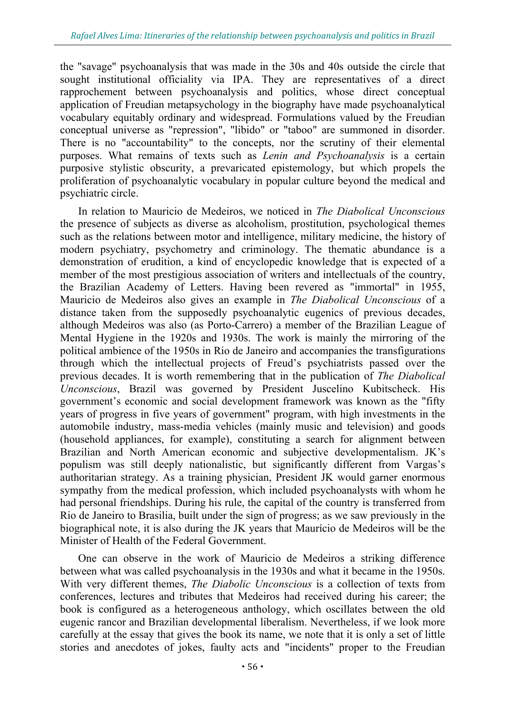the "savage" psychoanalysis that was made in the 30s and 40s outside the circle that sought institutional officiality via IPA. They are representatives of a direct rapprochement between psychoanalysis and politics, whose direct conceptual application of Freudian metapsychology in the biography have made psychoanalytical vocabulary equitably ordinary and widespread. Formulations valued by the Freudian conceptual universe as "repression", "libido" or "taboo" are summoned in disorder. There is no "accountability" to the concepts, nor the scrutiny of their elemental purposes. What remains of texts such as *Lenin and Psychoanalysis* is a certain purposive stylistic obscurity, a prevaricated epistemology, but which propels the proliferation of psychoanalytic vocabulary in popular culture beyond the medical and psychiatric circle.

In relation to Mauricio de Medeiros, we noticed in *The Diabolical Unconscious* the presence of subjects as diverse as alcoholism, prostitution, psychological themes such as the relations between motor and intelligence, military medicine, the history of modern psychiatry, psychometry and criminology. The thematic abundance is a demonstration of erudition, a kind of encyclopedic knowledge that is expected of a member of the most prestigious association of writers and intellectuals of the country, the Brazilian Academy of Letters. Having been revered as "immortal" in 1955, Mauricio de Medeiros also gives an example in *The Diabolical Unconscious* of a distance taken from the supposedly psychoanalytic eugenics of previous decades, although Medeiros was also (as Porto-Carrero) a member of the Brazilian League of Mental Hygiene in the 1920s and 1930s. The work is mainly the mirroring of the political ambience of the 1950s in Rio de Janeiro and accompanies the transfigurations through which the intellectual projects of Freud's psychiatrists passed over the previous decades. It is worth remembering that in the publication of *The Diabolical Unconscious*, Brazil was governed by President Juscelino Kubitscheck. His government's economic and social development framework was known as the "fifty years of progress in five years of government" program, with high investments in the automobile industry, mass-media vehicles (mainly music and television) and goods (household appliances, for example), constituting a search for alignment between Brazilian and North American economic and subjective developmentalism. JK's populism was still deeply nationalistic, but significantly different from Vargas's authoritarian strategy. As a training physician, President JK would garner enormous sympathy from the medical profession, which included psychoanalysts with whom he had personal friendships. During his rule, the capital of the country is transferred from Rio de Janeiro to Brasilia, built under the sign of progress; as we saw previously in the biographical note, it is also during the JK years that Maurício de Medeiros will be the Minister of Health of the Federal Government.

One can observe in the work of Mauricio de Medeiros a striking difference between what was called psychoanalysis in the 1930s and what it became in the 1950s. With very different themes, *The Diabolic Unconscious* is a collection of texts from conferences, lectures and tributes that Medeiros had received during his career; the book is configured as a heterogeneous anthology, which oscillates between the old eugenic rancor and Brazilian developmental liberalism. Nevertheless, if we look more carefully at the essay that gives the book its name, we note that it is only a set of little stories and anecdotes of jokes, faulty acts and "incidents" proper to the Freudian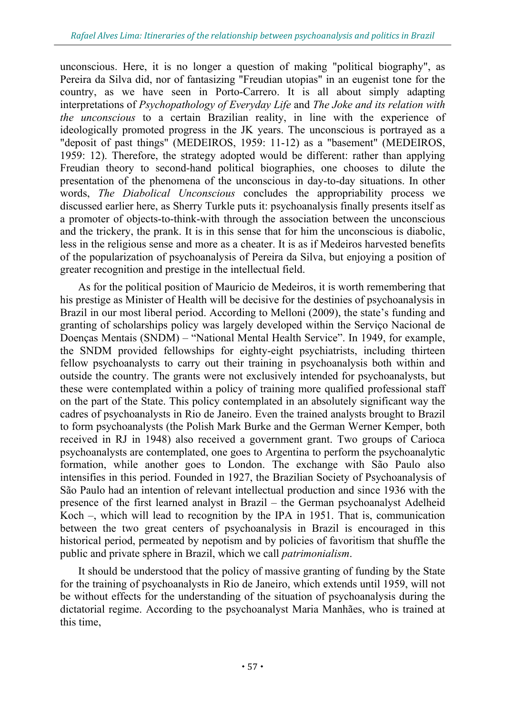unconscious. Here, it is no longer a question of making "political biography", as Pereira da Silva did, nor of fantasizing "Freudian utopias" in an eugenist tone for the country, as we have seen in Porto-Carrero. It is all about simply adapting interpretations of *Psychopathology of Everyday Life* and *The Joke and its relation with the unconscious* to a certain Brazilian reality, in line with the experience of ideologically promoted progress in the JK years. The unconscious is portrayed as a "deposit of past things" (MEDEIROS, 1959: 11-12) as a "basement" (MEDEIROS, 1959: 12). Therefore, the strategy adopted would be different: rather than applying Freudian theory to second-hand political biographies, one chooses to dilute the presentation of the phenomena of the unconscious in day-to-day situations. In other words, *The Diabolical Unconscious* concludes the appropriability process we discussed earlier here, as Sherry Turkle puts it: psychoanalysis finally presents itself as a promoter of objects-to-think-with through the association between the unconscious and the trickery, the prank. It is in this sense that for him the unconscious is diabolic, less in the religious sense and more as a cheater. It is as if Medeiros harvested benefits of the popularization of psychoanalysis of Pereira da Silva, but enjoying a position of greater recognition and prestige in the intellectual field.

As for the political position of Mauricio de Medeiros, it is worth remembering that his prestige as Minister of Health will be decisive for the destinies of psychoanalysis in Brazil in our most liberal period. According to Melloni (2009), the state's funding and granting of scholarships policy was largely developed within the Serviço Nacional de Doenças Mentais (SNDM) – "National Mental Health Service". In 1949, for example, the SNDM provided fellowships for eighty-eight psychiatrists, including thirteen fellow psychoanalysts to carry out their training in psychoanalysis both within and outside the country. The grants were not exclusively intended for psychoanalysts, but these were contemplated within a policy of training more qualified professional staff on the part of the State. This policy contemplated in an absolutely significant way the cadres of psychoanalysts in Rio de Janeiro. Even the trained analysts brought to Brazil to form psychoanalysts (the Polish Mark Burke and the German Werner Kemper, both received in RJ in 1948) also received a government grant. Two groups of Carioca psychoanalysts are contemplated, one goes to Argentina to perform the psychoanalytic formation, while another goes to London. The exchange with São Paulo also intensifies in this period. Founded in 1927, the Brazilian Society of Psychoanalysis of São Paulo had an intention of relevant intellectual production and since 1936 with the presence of the first learned analyst in Brazil – the German psychoanalyst Adelheid Koch –, which will lead to recognition by the IPA in 1951. That is, communication between the two great centers of psychoanalysis in Brazil is encouraged in this historical period, permeated by nepotism and by policies of favoritism that shuffle the public and private sphere in Brazil, which we call *patrimonialism*.

It should be understood that the policy of massive granting of funding by the State for the training of psychoanalysts in Rio de Janeiro, which extends until 1959, will not be without effects for the understanding of the situation of psychoanalysis during the dictatorial regime. According to the psychoanalyst Maria Manhães, who is trained at this time,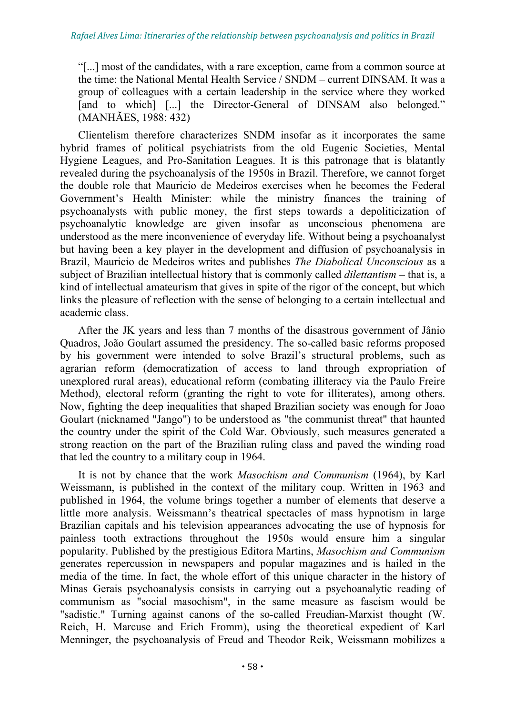"[...] most of the candidates, with a rare exception, came from a common source at the time: the National Mental Health Service / SNDM – current DINSAM. It was a group of colleagues with a certain leadership in the service where they worked [and to which] [...] the Director-General of DINSAM also belonged." (MANHÃES, 1988: 432)

Clientelism therefore characterizes SNDM insofar as it incorporates the same hybrid frames of political psychiatrists from the old Eugenic Societies, Mental Hygiene Leagues, and Pro-Sanitation Leagues. It is this patronage that is blatantly revealed during the psychoanalysis of the 1950s in Brazil. Therefore, we cannot forget the double role that Mauricio de Medeiros exercises when he becomes the Federal Government's Health Minister: while the ministry finances the training of psychoanalysts with public money, the first steps towards a depoliticization of psychoanalytic knowledge are given insofar as unconscious phenomena are understood as the mere inconvenience of everyday life. Without being a psychoanalyst but having been a key player in the development and diffusion of psychoanalysis in Brazil, Mauricio de Medeiros writes and publishes *The Diabolical Unconscious* as a subject of Brazilian intellectual history that is commonly called *dilettantism* – that is, a kind of intellectual amateurism that gives in spite of the rigor of the concept, but which links the pleasure of reflection with the sense of belonging to a certain intellectual and academic class.

After the JK years and less than 7 months of the disastrous government of Jânio Quadros, João Goulart assumed the presidency. The so-called basic reforms proposed by his government were intended to solve Brazil's structural problems, such as agrarian reform (democratization of access to land through expropriation of unexplored rural areas), educational reform (combating illiteracy via the Paulo Freire Method), electoral reform (granting the right to vote for illiterates), among others. Now, fighting the deep inequalities that shaped Brazilian society was enough for Joao Goulart (nicknamed "Jango") to be understood as "the communist threat" that haunted the country under the spirit of the Cold War. Obviously, such measures generated a strong reaction on the part of the Brazilian ruling class and paved the winding road that led the country to a military coup in 1964.

It is not by chance that the work *Masochism and Communism* (1964), by Karl Weissmann, is published in the context of the military coup. Written in 1963 and published in 1964, the volume brings together a number of elements that deserve a little more analysis. Weissmann's theatrical spectacles of mass hypnotism in large Brazilian capitals and his television appearances advocating the use of hypnosis for painless tooth extractions throughout the 1950s would ensure him a singular popularity. Published by the prestigious Editora Martins, *Masochism and Communism* generates repercussion in newspapers and popular magazines and is hailed in the media of the time. In fact, the whole effort of this unique character in the history of Minas Gerais psychoanalysis consists in carrying out a psychoanalytic reading of communism as "social masochism", in the same measure as fascism would be "sadistic." Turning against canons of the so-called Freudian-Marxist thought (W. Reich, H. Marcuse and Erich Fromm), using the theoretical expedient of Karl Menninger, the psychoanalysis of Freud and Theodor Reik, Weissmann mobilizes a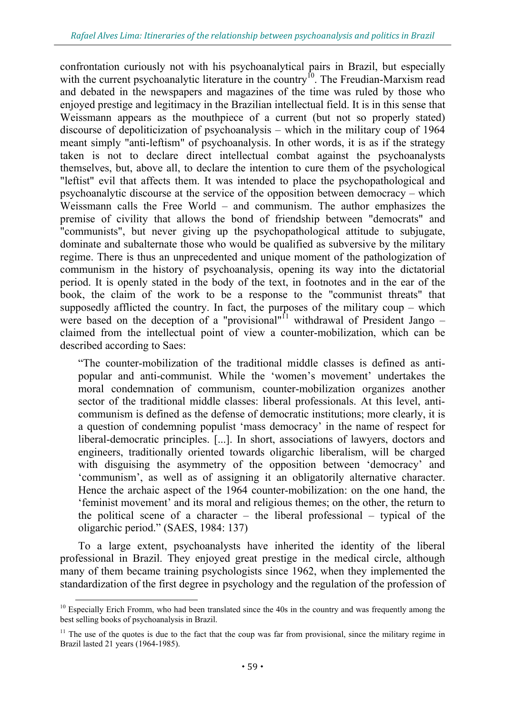confrontation curiously not with his psychoanalytical pairs in Brazil, but especially with the current psychoanalytic literature in the country<sup>10</sup>. The Freudian-Marxism read and debated in the newspapers and magazines of the time was ruled by those who enjoyed prestige and legitimacy in the Brazilian intellectual field. It is in this sense that Weissmann appears as the mouthpiece of a current (but not so properly stated) discourse of depoliticization of psychoanalysis – which in the military coup of 1964 meant simply "anti-leftism" of psychoanalysis. In other words, it is as if the strategy taken is not to declare direct intellectual combat against the psychoanalysts themselves, but, above all, to declare the intention to cure them of the psychological "leftist" evil that affects them. It was intended to place the psychopathological and psychoanalytic discourse at the service of the opposition between democracy – which Weissmann calls the Free World – and communism. The author emphasizes the premise of civility that allows the bond of friendship between "democrats" and "communists", but never giving up the psychopathological attitude to subjugate, dominate and subalternate those who would be qualified as subversive by the military regime. There is thus an unprecedented and unique moment of the pathologization of communism in the history of psychoanalysis, opening its way into the dictatorial period. It is openly stated in the body of the text, in footnotes and in the ear of the book, the claim of the work to be a response to the "communist threats" that supposedly afflicted the country. In fact, the purposes of the military coup – which were based on the deception of a "provisional"<sup>11</sup> withdrawal of President Jango – claimed from the intellectual point of view a counter-mobilization, which can be described according to Saes:

"The counter-mobilization of the traditional middle classes is defined as antipopular and anti-communist. While the 'women's movement' undertakes the moral condemnation of communism, counter-mobilization organizes another sector of the traditional middle classes: liberal professionals. At this level, anticommunism is defined as the defense of democratic institutions; more clearly, it is a question of condemning populist 'mass democracy' in the name of respect for liberal-democratic principles. [...]. In short, associations of lawyers, doctors and engineers, traditionally oriented towards oligarchic liberalism, will be charged with disguising the asymmetry of the opposition between 'democracy' and 'communism', as well as of assigning it an obligatorily alternative character. Hence the archaic aspect of the 1964 counter-mobilization: on the one hand, the 'feminist movement' and its moral and religious themes; on the other, the return to the political scene of a character – the liberal professional – typical of the oligarchic period." (SAES, 1984: 137)

To a large extent, psychoanalysts have inherited the identity of the liberal professional in Brazil. They enjoyed great prestige in the medical circle, although many of them became training psychologists since 1962, when they implemented the standardization of the first degree in psychology and the regulation of the profession of

 $10$  Especially Erich Fromm, who had been translated since the 40s in the country and was frequently among the best selling books of psychoanalysis in Brazil.

 $11$  The use of the quotes is due to the fact that the coup was far from provisional, since the military regime in Brazil lasted 21 years (1964-1985).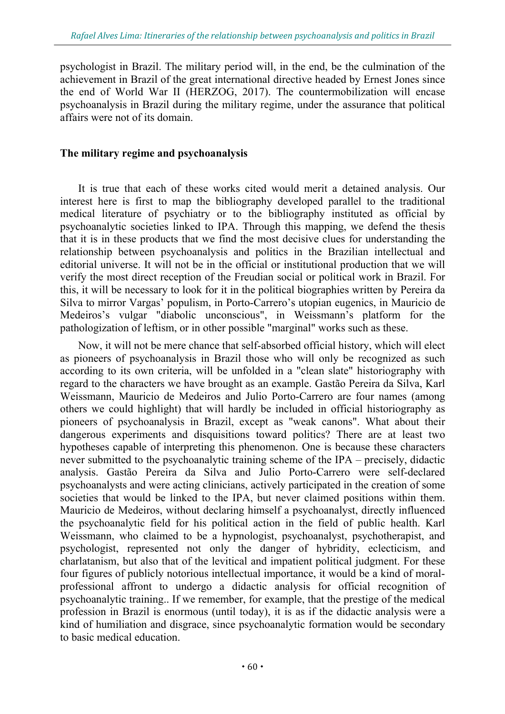psychologist in Brazil. The military period will, in the end, be the culmination of the achievement in Brazil of the great international directive headed by Ernest Jones since the end of World War II (HERZOG, 2017). The countermobilization will encase psychoanalysis in Brazil during the military regime, under the assurance that political affairs were not of its domain.

#### **The military regime and psychoanalysis**

It is true that each of these works cited would merit a detained analysis. Our interest here is first to map the bibliography developed parallel to the traditional medical literature of psychiatry or to the bibliography instituted as official by psychoanalytic societies linked to IPA. Through this mapping, we defend the thesis that it is in these products that we find the most decisive clues for understanding the relationship between psychoanalysis and politics in the Brazilian intellectual and editorial universe. It will not be in the official or institutional production that we will verify the most direct reception of the Freudian social or political work in Brazil. For this, it will be necessary to look for it in the political biographies written by Pereira da Silva to mirror Vargas' populism, in Porto-Carrero's utopian eugenics, in Mauricio de Medeiros's vulgar "diabolic unconscious", in Weissmann's platform for the pathologization of leftism, or in other possible "marginal" works such as these.

Now, it will not be mere chance that self-absorbed official history, which will elect as pioneers of psychoanalysis in Brazil those who will only be recognized as such according to its own criteria, will be unfolded in a "clean slate" historiography with regard to the characters we have brought as an example. Gastão Pereira da Silva, Karl Weissmann, Mauricio de Medeiros and Julio Porto-Carrero are four names (among others we could highlight) that will hardly be included in official historiography as pioneers of psychoanalysis in Brazil, except as "weak canons". What about their dangerous experiments and disquisitions toward politics? There are at least two hypotheses capable of interpreting this phenomenon. One is because these characters never submitted to the psychoanalytic training scheme of the IPA – precisely, didactic analysis. Gastão Pereira da Silva and Julio Porto-Carrero were self-declared psychoanalysts and were acting clinicians, actively participated in the creation of some societies that would be linked to the IPA, but never claimed positions within them. Mauricio de Medeiros, without declaring himself a psychoanalyst, directly influenced the psychoanalytic field for his political action in the field of public health. Karl Weissmann, who claimed to be a hypnologist, psychoanalyst, psychotherapist, and psychologist, represented not only the danger of hybridity, eclecticism, and charlatanism, but also that of the levitical and impatient political judgment. For these four figures of publicly notorious intellectual importance, it would be a kind of moralprofessional affront to undergo a didactic analysis for official recognition of psychoanalytic training.. If we remember, for example, that the prestige of the medical profession in Brazil is enormous (until today), it is as if the didactic analysis were a kind of humiliation and disgrace, since psychoanalytic formation would be secondary to basic medical education.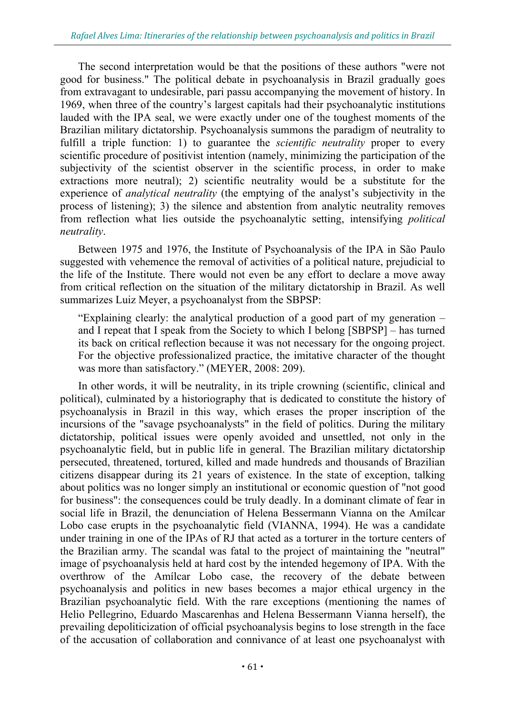The second interpretation would be that the positions of these authors "were not good for business." The political debate in psychoanalysis in Brazil gradually goes from extravagant to undesirable, pari passu accompanying the movement of history. In 1969, when three of the country's largest capitals had their psychoanalytic institutions lauded with the IPA seal, we were exactly under one of the toughest moments of the Brazilian military dictatorship. Psychoanalysis summons the paradigm of neutrality to fulfill a triple function: 1) to guarantee the *scientific neutrality* proper to every scientific procedure of positivist intention (namely, minimizing the participation of the subjectivity of the scientist observer in the scientific process, in order to make extractions more neutral); 2) scientific neutrality would be a substitute for the experience of *analytical neutrality* (the emptying of the analyst's subjectivity in the process of listening); 3) the silence and abstention from analytic neutrality removes from reflection what lies outside the psychoanalytic setting, intensifying *political neutrality*.

Between 1975 and 1976, the Institute of Psychoanalysis of the IPA in São Paulo suggested with vehemence the removal of activities of a political nature, prejudicial to the life of the Institute. There would not even be any effort to declare a move away from critical reflection on the situation of the military dictatorship in Brazil. As well summarizes Luiz Meyer, a psychoanalyst from the SBPSP:

"Explaining clearly: the analytical production of a good part of my generation – and I repeat that I speak from the Society to which I belong [SBPSP] – has turned its back on critical reflection because it was not necessary for the ongoing project. For the objective professionalized practice, the imitative character of the thought was more than satisfactory." (MEYER, 2008: 209).

In other words, it will be neutrality, in its triple crowning (scientific, clinical and political), culminated by a historiography that is dedicated to constitute the history of psychoanalysis in Brazil in this way, which erases the proper inscription of the incursions of the "savage psychoanalysts" in the field of politics. During the military dictatorship, political issues were openly avoided and unsettled, not only in the psychoanalytic field, but in public life in general. The Brazilian military dictatorship persecuted, threatened, tortured, killed and made hundreds and thousands of Brazilian citizens disappear during its 21 years of existence. In the state of exception, talking about politics was no longer simply an institutional or economic question of "not good for business": the consequences could be truly deadly. In a dominant climate of fear in social life in Brazil, the denunciation of Helena Bessermann Vianna on the Amílcar Lobo case erupts in the psychoanalytic field (VIANNA, 1994). He was a candidate under training in one of the IPAs of RJ that acted as a torturer in the torture centers of the Brazilian army. The scandal was fatal to the project of maintaining the "neutral" image of psychoanalysis held at hard cost by the intended hegemony of IPA. With the overthrow of the Amílcar Lobo case, the recovery of the debate between psychoanalysis and politics in new bases becomes a major ethical urgency in the Brazilian psychoanalytic field. With the rare exceptions (mentioning the names of Helio Pellegrino, Eduardo Mascarenhas and Helena Bessermann Vianna herself), the prevailing depoliticization of official psychoanalysis begins to lose strength in the face of the accusation of collaboration and connivance of at least one psychoanalyst with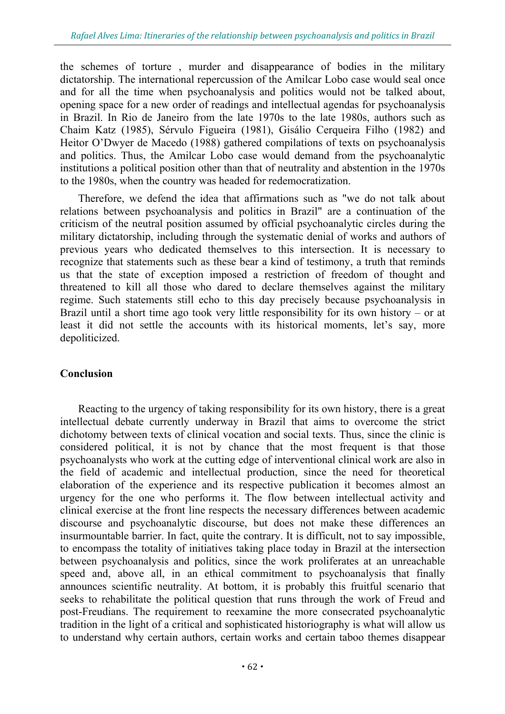the schemes of torture , murder and disappearance of bodies in the military dictatorship. The international repercussion of the Amilcar Lobo case would seal once and for all the time when psychoanalysis and politics would not be talked about, opening space for a new order of readings and intellectual agendas for psychoanalysis in Brazil. In Rio de Janeiro from the late 1970s to the late 1980s, authors such as Chaim Katz (1985), Sérvulo Figueira (1981), Gisálio Cerqueira Filho (1982) and Heitor O'Dwyer de Macedo (1988) gathered compilations of texts on psychoanalysis and politics. Thus, the Amilcar Lobo case would demand from the psychoanalytic institutions a political position other than that of neutrality and abstention in the 1970s to the 1980s, when the country was headed for redemocratization.

Therefore, we defend the idea that affirmations such as "we do not talk about relations between psychoanalysis and politics in Brazil" are a continuation of the criticism of the neutral position assumed by official psychoanalytic circles during the military dictatorship, including through the systematic denial of works and authors of previous years who dedicated themselves to this intersection. It is necessary to recognize that statements such as these bear a kind of testimony, a truth that reminds us that the state of exception imposed a restriction of freedom of thought and threatened to kill all those who dared to declare themselves against the military regime. Such statements still echo to this day precisely because psychoanalysis in Brazil until a short time ago took very little responsibility for its own history – or at least it did not settle the accounts with its historical moments, let's say, more depoliticized.

### **Conclusion**

Reacting to the urgency of taking responsibility for its own history, there is a great intellectual debate currently underway in Brazil that aims to overcome the strict dichotomy between texts of clinical vocation and social texts. Thus, since the clinic is considered political, it is not by chance that the most frequent is that those psychoanalysts who work at the cutting edge of interventional clinical work are also in the field of academic and intellectual production, since the need for theoretical elaboration of the experience and its respective publication it becomes almost an urgency for the one who performs it. The flow between intellectual activity and clinical exercise at the front line respects the necessary differences between academic discourse and psychoanalytic discourse, but does not make these differences an insurmountable barrier. In fact, quite the contrary. It is difficult, not to say impossible, to encompass the totality of initiatives taking place today in Brazil at the intersection between psychoanalysis and politics, since the work proliferates at an unreachable speed and, above all, in an ethical commitment to psychoanalysis that finally announces scientific neutrality. At bottom, it is probably this fruitful scenario that seeks to rehabilitate the political question that runs through the work of Freud and post-Freudians. The requirement to reexamine the more consecrated psychoanalytic tradition in the light of a critical and sophisticated historiography is what will allow us to understand why certain authors, certain works and certain taboo themes disappear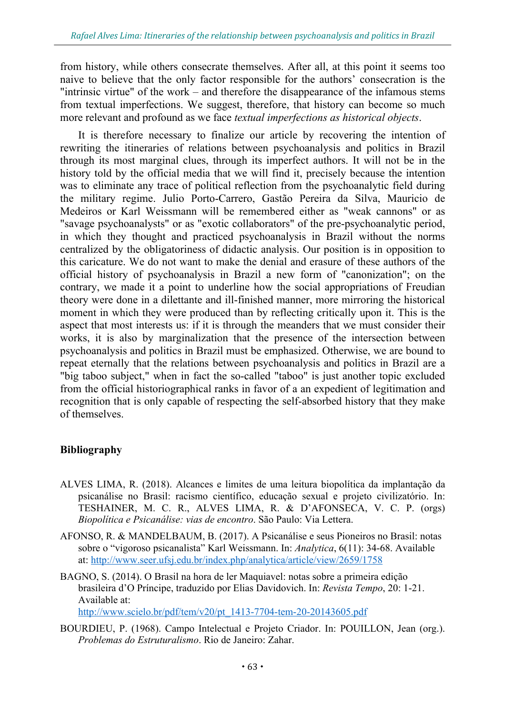from history, while others consecrate themselves. After all, at this point it seems too naive to believe that the only factor responsible for the authors' consecration is the "intrinsic virtue" of the work – and therefore the disappearance of the infamous stems from textual imperfections. We suggest, therefore, that history can become so much more relevant and profound as we face *textual imperfections as historical objects*.

It is therefore necessary to finalize our article by recovering the intention of rewriting the itineraries of relations between psychoanalysis and politics in Brazil through its most marginal clues, through its imperfect authors. It will not be in the history told by the official media that we will find it, precisely because the intention was to eliminate any trace of political reflection from the psychoanalytic field during the military regime. Julio Porto-Carrero, Gastão Pereira da Silva, Mauricio de Medeiros or Karl Weissmann will be remembered either as "weak cannons" or as "savage psychoanalysts" or as "exotic collaborators" of the pre-psychoanalytic period, in which they thought and practiced psychoanalysis in Brazil without the norms centralized by the obligatoriness of didactic analysis. Our position is in opposition to this caricature. We do not want to make the denial and erasure of these authors of the official history of psychoanalysis in Brazil a new form of "canonization"; on the contrary, we made it a point to underline how the social appropriations of Freudian theory were done in a dilettante and ill-finished manner, more mirroring the historical moment in which they were produced than by reflecting critically upon it. This is the aspect that most interests us: if it is through the meanders that we must consider their works, it is also by marginalization that the presence of the intersection between psychoanalysis and politics in Brazil must be emphasized. Otherwise, we are bound to repeat eternally that the relations between psychoanalysis and politics in Brazil are a "big taboo subject," when in fact the so-called "taboo" is just another topic excluded from the official historiographical ranks in favor of a an expedient of legitimation and recognition that is only capable of respecting the self-absorbed history that they make of themselves.

## **Bibliography**

- ALVES LIMA, R. (2018). Alcances e limites de uma leitura biopolítica da implantação da psicanálise no Brasil: racismo científico, educação sexual e projeto civilizatório. In: TESHAINER, M. C. R., ALVES LIMA, R. & D'AFONSECA, V. C. P. (orgs) *Biopolítica e Psicanálise: vias de encontro*. São Paulo: Via Lettera.
- AFONSO, R. & MANDELBAUM, B. (2017). A Psicanálise e seus Pioneiros no Brasil: notas sobre o "vigoroso psicanalista" Karl Weissmann. In: *Analytica*, 6(11): 34-68. Available at: http://www.seer.ufsj.edu.br/index.php/analytica/article/view/2659/1758
- BAGNO, S. (2014). O Brasil na hora de ler Maquiavel: notas sobre a primeira edição brasileira d'O Príncipe, traduzido por Elias Davidovich. In: *Revista Tempo*, 20: 1-21. Available at:

http://www.scielo.br/pdf/tem/v20/pt\_1413-7704-tem-20-20143605.pdf

BOURDIEU, P. (1968). Campo Intelectual e Projeto Criador. In: POUILLON, Jean (org.). *Problemas do Estruturalismo*. Rio de Janeiro: Zahar.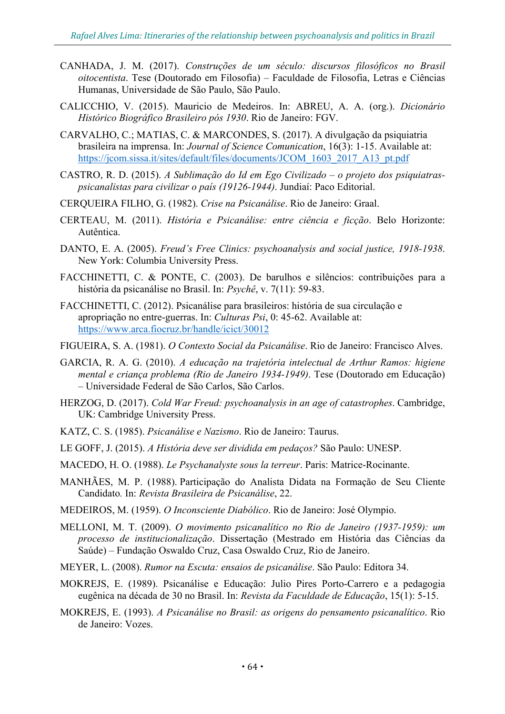- CANHADA, J. M. (2017). *Construções de um século: discursos filosóficos no Brasil oitocentista*. Tese (Doutorado em Filosofia) – Faculdade de Filosofia, Letras e Ciências Humanas, Universidade de São Paulo, São Paulo.
- CALICCHIO, V. (2015). Mauricio de Medeiros. In: ABREU, A. A. (org.). *Dicionário Histórico Biográfico Brasileiro pós 1930*. Rio de Janeiro: FGV.
- CARVALHO, C.; MATIAS, C. & MARCONDES, S. (2017). A divulgação da psiquiatria brasileira na imprensa. In: *Journal of Science Comunication*, 16(3): 1-15. Available at: https://jcom.sissa.it/sites/default/files/documents/JCOM\_1603\_2017\_A13\_pt.pdf
- CASTRO, R. D. (2015). *A Sublimação do Id em Ego Civilizado o projeto dos psiquiatraspsicanalistas para civilizar o país (19126-1944)*. Jundiaí: Paco Editorial.
- CERQUEIRA FILHO, G. (1982). *Crise na Psicanálise*. Rio de Janeiro: Graal.
- CERTEAU, M. (2011). *História e Psicanálise: entre ciência e ficção*. Belo Horizonte: Autêntica.
- DANTO, E. A. (2005). *Freud's Free Clinics: psychoanalysis and social justice, 1918-1938*. New York: Columbia University Press.
- FACCHINETTI, C. & PONTE, C. (2003). De barulhos e silêncios: contribuições para a história da psicanálise no Brasil. In: *Psychê*, v. 7(11): 59-83.
- FACCHINETTI, C. (2012). Psicanálise para brasileiros: história de sua circulação e apropriação no entre-guerras. In: *Culturas Psi*, 0: 45-62. Available at: https://www.arca.fiocruz.br/handle/icict/30012

FIGUEIRA, S. A. (1981). *O Contexto Social da Psicanálise*. Rio de Janeiro: Francisco Alves.

- GARCIA, R. A. G. (2010). *A educação na trajetória intelectual de Arthur Ramos: higiene mental e criança problema (Rio de Janeiro 1934-1949)*. Tese (Doutorado em Educação) – Universidade Federal de São Carlos, São Carlos.
- HERZOG, D. (2017). *Cold War Freud: psychoanalysis in an age of catastrophes*. Cambridge, UK: Cambridge University Press.
- KATZ, C. S. (1985). *Psicanálise e Nazismo*. Rio de Janeiro: Taurus.
- LE GOFF, J. (2015). *A História deve ser dividida em pedaços?* São Paulo: UNESP.
- MACEDO, H. O. (1988). *Le Psychanalyste sous la terreur*. Paris: Matrice-Rocinante.
- MANHÃES, M. P. (1988). Participação do Analista Didata na Formação de Seu Cliente Candidato*.* In: *Revista Brasileira de Psicanálise*, 22.
- MEDEIROS, M. (1959). *O Inconsciente Diabólico*. Rio de Janeiro: José Olympio.
- MELLONI, M. T. (2009). *O movimento psicanalítico no Rio de Janeiro (1937-1959): um processo de institucionalização*. Dissertação (Mestrado em História das Ciências da Saúde) – Fundação Oswaldo Cruz, Casa Oswaldo Cruz, Rio de Janeiro.
- MEYER, L. (2008). *Rumor na Escuta: ensaios de psicanálise*. São Paulo: Editora 34.
- MOKREJS, E. (1989). Psicanálise e Educação: Julio Pires Porto-Carrero e a pedagogia eugênica na década de 30 no Brasil. In: *Revista da Faculdade de Educação*, 15(1): 5-15.
- MOKREJS, E. (1993). *A Psicanálise no Brasil: as origens do pensamento psicanalítico*. Rio de Janeiro: Vozes.